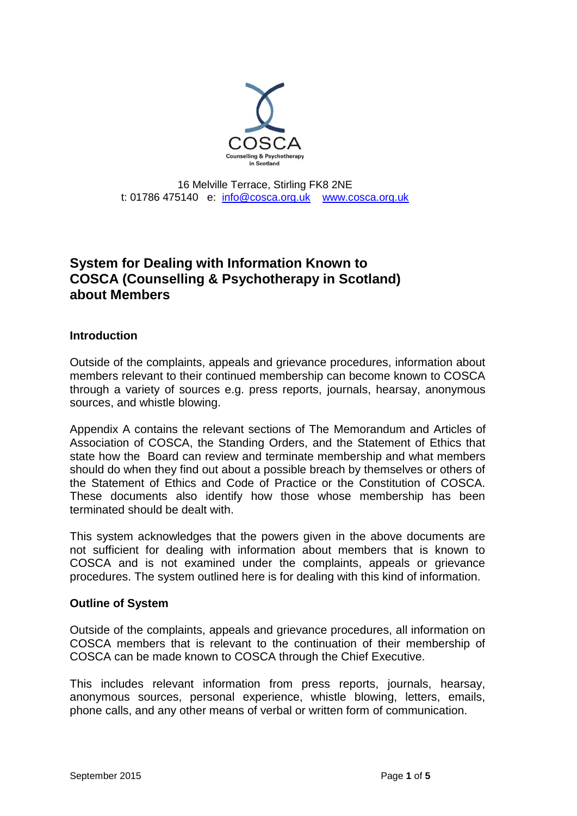

16 Melville Terrace, Stirling FK8 2NE t: 01786 475140 e: [info@cosca.org.uk](mailto:info@cosca.org.uk) [www.cosca.org.uk](http://www.cosca.org.uk/)

# **System for Dealing with Information Known to COSCA (Counselling & Psychotherapy in Scotland) about Members**

### **Introduction**

Outside of the complaints, appeals and grievance procedures, information about members relevant to their continued membership can become known to COSCA through a variety of sources e.g. press reports, journals, hearsay, anonymous sources, and whistle blowing.

Appendix A contains the relevant sections of The Memorandum and Articles of Association of COSCA, the Standing Orders, and the Statement of Ethics that state how the Board can review and terminate membership and what members should do when they find out about a possible breach by themselves or others of the Statement of Ethics and Code of Practice or the Constitution of COSCA. These documents also identify how those whose membership has been terminated should be dealt with.

This system acknowledges that the powers given in the above documents are not sufficient for dealing with information about members that is known to COSCA and is not examined under the complaints, appeals or grievance procedures. The system outlined here is for dealing with this kind of information.

#### **Outline of System**

Outside of the complaints, appeals and grievance procedures, all information on COSCA members that is relevant to the continuation of their membership of COSCA can be made known to COSCA through the Chief Executive.

This includes relevant information from press reports, journals, hearsay, anonymous sources, personal experience, whistle blowing, letters, emails, phone calls, and any other means of verbal or written form of communication.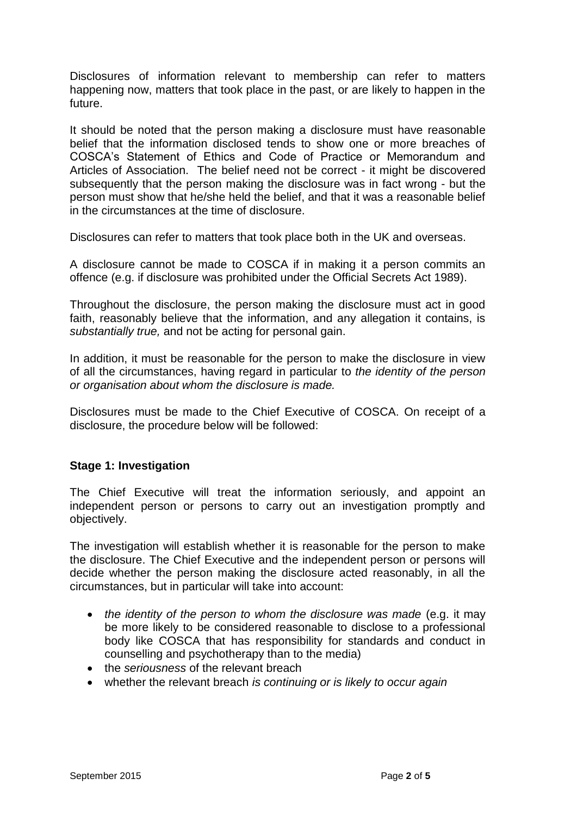Disclosures of information relevant to membership can refer to matters happening now, matters that took place in the past, or are likely to happen in the future.

It should be noted that the person making a disclosure must have reasonable belief that the information disclosed tends to show one or more breaches of COSCA's Statement of Ethics and Code of Practice or Memorandum and Articles of Association. The belief need not be correct - it might be discovered subsequently that the person making the disclosure was in fact wrong - but the person must show that he/she held the belief, and that it was a reasonable belief in the circumstances at the time of disclosure.

Disclosures can refer to matters that took place both in the UK and overseas.

A disclosure cannot be made to COSCA if in making it a person commits an offence (e.g. if disclosure was prohibited under the Official Secrets Act 1989).

Throughout the disclosure, the person making the disclosure must act in good faith, reasonably believe that the information, and any allegation it contains, is *substantially true,* and not be acting for personal gain.

In addition, it must be reasonable for the person to make the disclosure in view of all the circumstances, having regard in particular to *the identity of the person or organisation about whom the disclosure is made.*

Disclosures must be made to the Chief Executive of COSCA. On receipt of a disclosure, the procedure below will be followed:

### **Stage 1: Investigation**

The Chief Executive will treat the information seriously, and appoint an independent person or persons to carry out an investigation promptly and objectively.

The investigation will establish whether it is reasonable for the person to make the disclosure. The Chief Executive and the independent person or persons will decide whether the person making the disclosure acted reasonably, in all the circumstances, but in particular will take into account:

- *the identity of the person to whom the disclosure was made* (e.g. it may be more likely to be considered reasonable to disclose to a professional body like COSCA that has responsibility for standards and conduct in counselling and psychotherapy than to the media)
- the *seriousness* of the relevant breach
- whether the relevant breach *is continuing or is likely to occur again*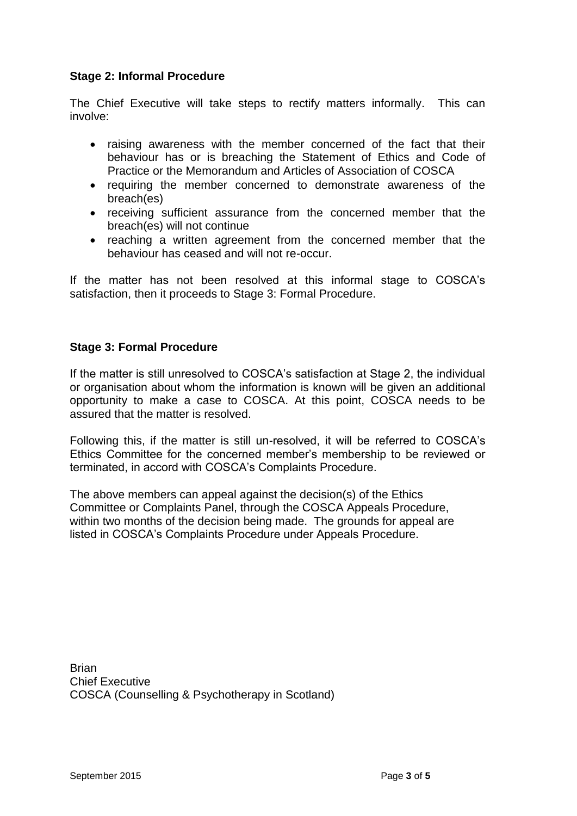## **Stage 2: Informal Procedure**

The Chief Executive will take steps to rectify matters informally. This can involve:

- raising awareness with the member concerned of the fact that their behaviour has or is breaching the Statement of Ethics and Code of Practice or the Memorandum and Articles of Association of COSCA
- requiring the member concerned to demonstrate awareness of the breach(es)
- receiving sufficient assurance from the concerned member that the breach(es) will not continue
- reaching a written agreement from the concerned member that the behaviour has ceased and will not re-occur.

If the matter has not been resolved at this informal stage to COSCA's satisfaction, then it proceeds to Stage 3: Formal Procedure.

### **Stage 3: Formal Procedure**

If the matter is still unresolved to COSCA's satisfaction at Stage 2, the individual or organisation about whom the information is known will be given an additional opportunity to make a case to COSCA. At this point, COSCA needs to be assured that the matter is resolved.

Following this, if the matter is still un-resolved, it will be referred to COSCA's Ethics Committee for the concerned member's membership to be reviewed or terminated, in accord with COSCA's Complaints Procedure.

The above members can appeal against the decision(s) of the Ethics Committee or Complaints Panel, through the COSCA Appeals Procedure, within two months of the decision being made. The grounds for appeal are listed in COSCA's Complaints Procedure under Appeals Procedure.

**Brian** Chief Executive COSCA (Counselling & Psychotherapy in Scotland)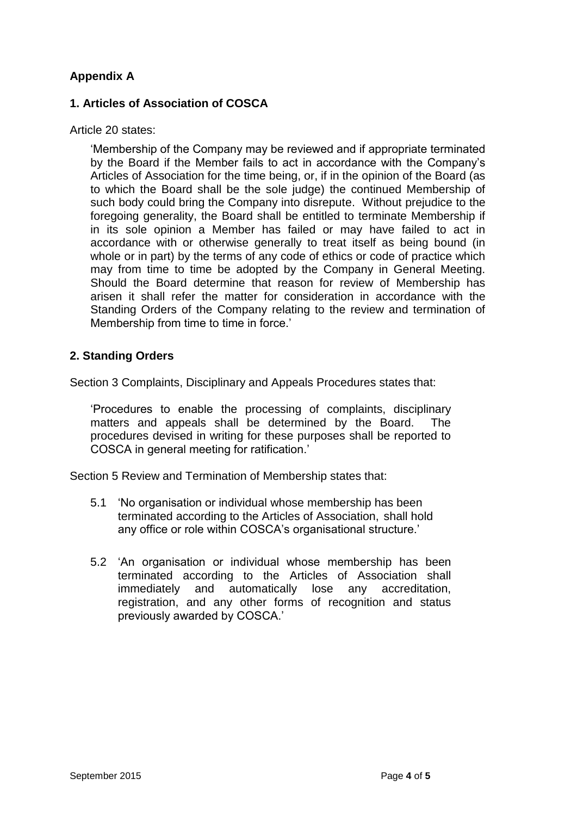## **Appendix A**

### **1. Articles of Association of COSCA**

### Article 20 states:

'Membership of the Company may be reviewed and if appropriate terminated by the Board if the Member fails to act in accordance with the Company's Articles of Association for the time being, or, if in the opinion of the Board (as to which the Board shall be the sole judge) the continued Membership of such body could bring the Company into disrepute. Without prejudice to the foregoing generality, the Board shall be entitled to terminate Membership if in its sole opinion a Member has failed or may have failed to act in accordance with or otherwise generally to treat itself as being bound (in whole or in part) by the terms of any code of ethics or code of practice which may from time to time be adopted by the Company in General Meeting. Should the Board determine that reason for review of Membership has arisen it shall refer the matter for consideration in accordance with the Standing Orders of the Company relating to the review and termination of Membership from time to time in force.'

### **2. Standing Orders**

Section 3 Complaints, Disciplinary and Appeals Procedures states that:

'Procedures to enable the processing of complaints, disciplinary matters and appeals shall be determined by the Board. The procedures devised in writing for these purposes shall be reported to COSCA in general meeting for ratification.'

Section 5 Review and Termination of Membership states that:

- 5.1 'No organisation or individual whose membership has been terminated according to the Articles of Association, shall hold any office or role within COSCA's organisational structure.'
- 5.2 'An organisation or individual whose membership has been terminated according to the Articles of Association shall immediately and automatically lose any accreditation, registration, and any other forms of recognition and status previously awarded by COSCA.'